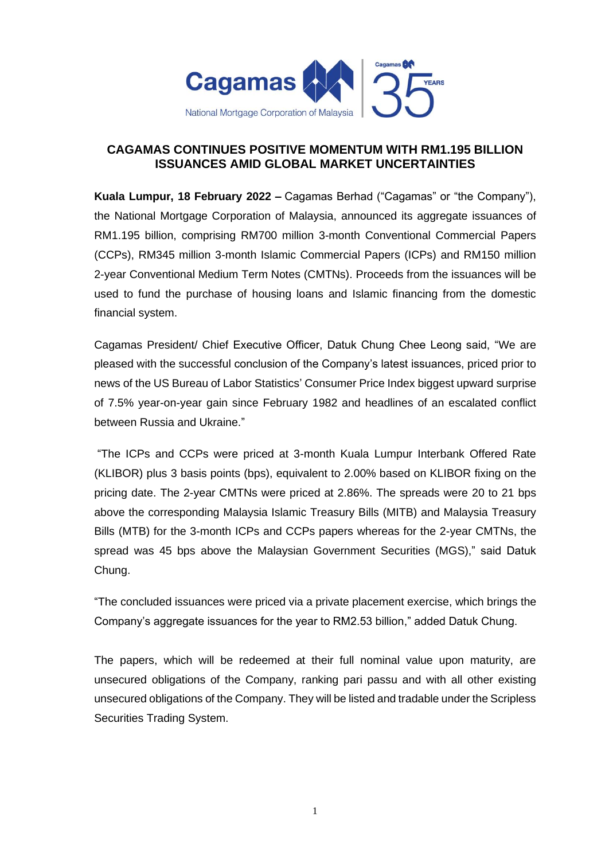

## **CAGAMAS CONTINUES POSITIVE MOMENTUM WITH RM1.195 BILLION ISSUANCES AMID GLOBAL MARKET UNCERTAINTIES**

**Kuala Lumpur, 18 February 2022 –** Cagamas Berhad ("Cagamas" or "the Company"), the National Mortgage Corporation of Malaysia, announced its aggregate issuances of RM1.195 billion, comprising RM700 million 3-month Conventional Commercial Papers (CCPs), RM345 million 3-month Islamic Commercial Papers (ICPs) and RM150 million 2-year Conventional Medium Term Notes (CMTNs). Proceeds from the issuances will be used to fund the purchase of housing loans and Islamic financing from the domestic financial system.

Cagamas President/ Chief Executive Officer, Datuk Chung Chee Leong said, "We are pleased with the successful conclusion of the Company's latest issuances, priced prior to news of the US Bureau of Labor Statistics' Consumer Price Index biggest upward surprise of 7.5% year-on-year gain since February 1982 and headlines of an escalated conflict between Russia and Ukraine."

"The ICPs and CCPs were priced at 3-month Kuala Lumpur Interbank Offered Rate (KLIBOR) plus 3 basis points (bps), equivalent to 2.00% based on KLIBOR fixing on the pricing date. The 2-year CMTNs were priced at 2.86%. The spreads were 20 to 21 bps above the corresponding Malaysia Islamic Treasury Bills (MITB) and Malaysia Treasury Bills (MTB) for the 3-month ICPs and CCPs papers whereas for the 2-year CMTNs, the spread was 45 bps above the Malaysian Government Securities (MGS)," said Datuk Chung.

"The concluded issuances were priced via a private placement exercise, which brings the Company's aggregate issuances for the year to RM2.53 billion," added Datuk Chung.

The papers, which will be redeemed at their full nominal value upon maturity, are unsecured obligations of the Company, ranking pari passu and with all other existing unsecured obligations of the Company. They will be listed and tradable under the Scripless Securities Trading System.